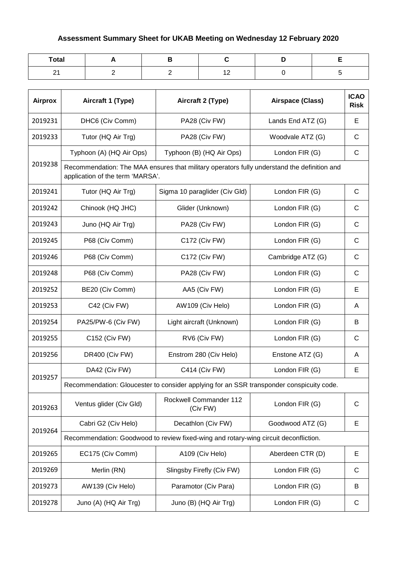## **Assessment Summary Sheet for UKAB Meeting on Wednesday 12 February 2020**

| Total |  |                |  |
|-------|--|----------------|--|
| - -   |  | $\cdot$ $\sim$ |  |

| <b>Airprox</b>                   | Aircraft 1 (Type)                                                                        | Aircraft 2 (Type)                                                                           | Airspace (Class)  | <b>ICAO</b><br><b>Risk</b> |  |
|----------------------------------|------------------------------------------------------------------------------------------|---------------------------------------------------------------------------------------------|-------------------|----------------------------|--|
| 2019231                          | DHC6 (Civ Comm)                                                                          | PA28 (Civ FW)                                                                               | Lands End ATZ (G) | E                          |  |
| 2019233                          | Tutor (HQ Air Trg)                                                                       | PA28 (Civ FW)                                                                               | Woodvale ATZ (G)  | $\mathsf{C}$               |  |
|                                  | Typhoon (A) (HQ Air Ops)                                                                 | Typhoon (B) (HQ Air Ops)                                                                    | London FIR (G)    | C                          |  |
| 2019238                          | application of the term 'MARSA'.                                                         | Recommendation: The MAA ensures that military operators fully understand the definition and |                   |                            |  |
| 2019241                          | Tutor (HQ Air Trg)                                                                       | Sigma 10 paraglider (Civ Gld)                                                               | London FIR (G)    | $\mathsf{C}$               |  |
| 2019242                          | Chinook (HQ JHC)                                                                         | Glider (Unknown)                                                                            | London FIR (G)    | C                          |  |
| 2019243                          | Juno (HQ Air Trg)                                                                        | PA28 (Civ FW)                                                                               | London FIR (G)    | $\mathsf{C}$               |  |
| 2019245                          | P68 (Civ Comm)                                                                           | C172 (Civ FW)                                                                               | London FIR (G)    | $\mathsf{C}$               |  |
| 2019246                          | P68 (Civ Comm)                                                                           | C172 (Civ FW)                                                                               | Cambridge ATZ (G) | $\mathsf{C}$               |  |
| 2019248                          | P68 (Civ Comm)                                                                           | PA28 (Civ FW)                                                                               | London FIR (G)    | C                          |  |
| 2019252                          | BE20 (Civ Comm)                                                                          | AA5 (Civ FW)                                                                                | London FIR (G)    | E                          |  |
| 2019253                          | C42 (Civ FW)                                                                             | AW109 (Civ Helo)                                                                            | London FIR (G)    | A                          |  |
| 2019254                          | PA25/PW-6 (Civ FW)                                                                       | Light aircraft (Unknown)                                                                    | London FIR (G)    | B                          |  |
| 2019255                          | C152 (Civ FW)                                                                            | RV6 (Civ FW)                                                                                | London FIR (G)    | C                          |  |
| 2019256                          | DR400 (Civ FW)                                                                           | Enstrom 280 (Civ Helo)                                                                      | Enstone ATZ (G)   | A                          |  |
| 2019257                          | DA42 (Civ FW)                                                                            | C414 (Civ FW)                                                                               | London FIR (G)    | E                          |  |
|                                  | Recommendation: Gloucester to consider applying for an SSR transponder conspicuity code. |                                                                                             |                   |                            |  |
| 2019263                          | Ventus glider (Civ Gld)                                                                  | Rockwell Commander 112<br>(Civ FW)                                                          | London FIR (G)    | C                          |  |
|                                  | Cabri G2 (Civ Helo)                                                                      | Decathlon (Civ FW)                                                                          | Goodwood ATZ (G)  | E                          |  |
| 2019264                          | Recommendation: Goodwood to review fixed-wing and rotary-wing circuit deconfliction.     |                                                                                             |                   |                            |  |
| 2019265                          | EC175 (Civ Comm)                                                                         | A109 (Civ Helo)                                                                             | Aberdeen CTR (D)  | Е                          |  |
| 2019269                          | Merlin (RN)                                                                              | Slingsby Firefly (Civ FW)                                                                   | London FIR (G)    | C                          |  |
| 2019273                          | AW139 (Civ Helo)                                                                         | Paramotor (Civ Para)                                                                        | London FIR (G)    | B                          |  |
| Juno (A) (HQ Air Trg)<br>2019278 |                                                                                          | Juno (B) (HQ Air Trg)                                                                       | London FIR (G)    | C                          |  |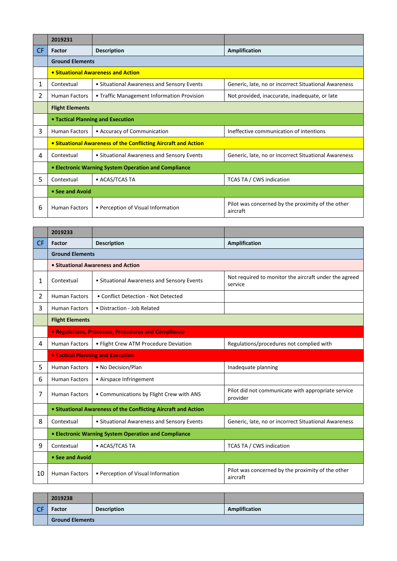|           | 2019231                           |                                                                |                                                               |  |
|-----------|-----------------------------------|----------------------------------------------------------------|---------------------------------------------------------------|--|
| <b>CF</b> | Factor                            | <b>Description</b>                                             | Amplification                                                 |  |
|           | <b>Ground Elements</b>            |                                                                |                                                               |  |
|           |                                   | • Situational Awareness and Action                             |                                                               |  |
| 1         | Contextual                        | • Situational Awareness and Sensory Events                     | Generic, late, no or incorrect Situational Awareness          |  |
| 2         | <b>Human Factors</b>              | • Traffic Management Information Provision                     | Not provided, inaccurate, inadequate, or late                 |  |
|           | <b>Flight Elements</b>            |                                                                |                                                               |  |
|           | • Tactical Planning and Execution |                                                                |                                                               |  |
| 3         | <b>Human Factors</b>              | • Accuracy of Communication                                    | Ineffective communication of intentions                       |  |
|           |                                   | • Situational Awareness of the Conflicting Aircraft and Action |                                                               |  |
| 4         | Contextual                        | • Situational Awareness and Sensory Events                     | Generic, late, no or incorrect Situational Awareness          |  |
|           |                                   | • Electronic Warning System Operation and Compliance           |                                                               |  |
| 5.        | Contextual                        | • ACAS/TCAS TA                                                 | TCAS TA / CWS indication                                      |  |
|           | • See and Avoid                   |                                                                |                                                               |  |
| 6         | <b>Human Factors</b>              | • Perception of Visual Information                             | Pilot was concerned by the proximity of the other<br>aircraft |  |

|     | 2019233                                              |                                                                |                                                                  |  |  |  |
|-----|------------------------------------------------------|----------------------------------------------------------------|------------------------------------------------------------------|--|--|--|
| CF. | <b>Factor</b>                                        | <b>Description</b>                                             | Amplification                                                    |  |  |  |
|     |                                                      | <b>Ground Elements</b>                                         |                                                                  |  |  |  |
|     |                                                      | • Situational Awareness and Action                             |                                                                  |  |  |  |
| 1   | Contextual                                           | • Situational Awareness and Sensory Events                     | Not required to monitor the aircraft under the agreed<br>service |  |  |  |
| 2   | <b>Human Factors</b>                                 | • Conflict Detection - Not Detected                            |                                                                  |  |  |  |
| 3   | <b>Human Factors</b>                                 | • Distraction - Job Related                                    |                                                                  |  |  |  |
|     | <b>Flight Elements</b>                               |                                                                |                                                                  |  |  |  |
|     |                                                      | • Regulations, Processes, Procedures and Compliance            |                                                                  |  |  |  |
| 4   | <b>Human Factors</b>                                 | • Flight Crew ATM Procedure Deviation                          | Regulations/procedures not complied with                         |  |  |  |
|     | <b>. Tactical Planning and Execution</b>             |                                                                |                                                                  |  |  |  |
| 5   | <b>Human Factors</b>                                 | • No Decision/Plan                                             | Inadequate planning                                              |  |  |  |
| 6   | <b>Human Factors</b>                                 | • Airspace Infringement                                        |                                                                  |  |  |  |
| 7   | <b>Human Factors</b>                                 | • Communications by Flight Crew with ANS                       | Pilot did not communicate with appropriate service<br>provider   |  |  |  |
|     |                                                      | • Situational Awareness of the Conflicting Aircraft and Action |                                                                  |  |  |  |
| 8   | Contextual                                           | • Situational Awareness and Sensory Events                     | Generic, late, no or incorrect Situational Awareness             |  |  |  |
|     | • Electronic Warning System Operation and Compliance |                                                                |                                                                  |  |  |  |
| 9   | Contextual                                           | • ACAS/TCAS TA                                                 | TCAS TA / CWS indication                                         |  |  |  |
|     | • See and Avoid                                      |                                                                |                                                                  |  |  |  |
| 10  | <b>Human Factors</b>                                 | • Perception of Visual Information                             | Pilot was concerned by the proximity of the other<br>aircraft    |  |  |  |

|    | 2019238                |                    |               |
|----|------------------------|--------------------|---------------|
| CF | <b>Factor</b>          | <b>Description</b> | Amplification |
|    | <b>Ground Elements</b> |                    |               |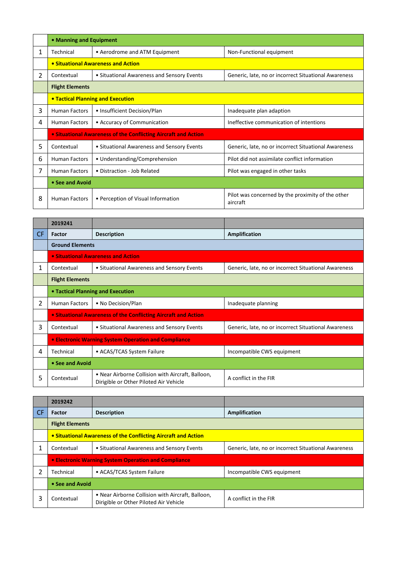|   | • Manning and Equipment                                        |                                            |                                                               |  |
|---|----------------------------------------------------------------|--------------------------------------------|---------------------------------------------------------------|--|
| 1 | Technical                                                      | • Aerodrome and ATM Equipment              | Non-Functional equipment                                      |  |
|   |                                                                | • Situational Awareness and Action         |                                                               |  |
| 2 | Contextual                                                     | • Situational Awareness and Sensory Events | Generic, late, no or incorrect Situational Awareness          |  |
|   | <b>Flight Elements</b>                                         |                                            |                                                               |  |
|   | <b>• Tactical Planning and Execution</b>                       |                                            |                                                               |  |
| 3 | <b>Human Factors</b>                                           | • Insufficient Decision/Plan               | Inadequate plan adaption                                      |  |
| 4 | <b>Human Factors</b>                                           | • Accuracy of Communication                | Ineffective communication of intentions                       |  |
|   | • Situational Awareness of the Conflicting Aircraft and Action |                                            |                                                               |  |
| 5 | Contextual                                                     | • Situational Awareness and Sensory Events | Generic, late, no or incorrect Situational Awareness          |  |
| 6 | <b>Human Factors</b>                                           | • Understanding/Comprehension              | Pilot did not assimilate conflict information                 |  |
| 7 | <b>Human Factors</b>                                           | • Distraction - Job Related                | Pilot was engaged in other tasks                              |  |
|   | • See and Avoid                                                |                                            |                                                               |  |
| 8 | <b>Human Factors</b>                                           | • Perception of Visual Information         | Pilot was concerned by the proximity of the other<br>aircraft |  |

|           | 2019241                                                        |                                                                                             |                                                      |  |
|-----------|----------------------------------------------------------------|---------------------------------------------------------------------------------------------|------------------------------------------------------|--|
| <b>CF</b> | <b>Factor</b>                                                  | <b>Description</b>                                                                          | Amplification                                        |  |
|           | <b>Ground Elements</b>                                         |                                                                                             |                                                      |  |
|           |                                                                | • Situational Awareness and Action                                                          |                                                      |  |
| 1         | Contextual                                                     | • Situational Awareness and Sensory Events                                                  | Generic, late, no or incorrect Situational Awareness |  |
|           | <b>Flight Elements</b>                                         |                                                                                             |                                                      |  |
|           | • Tactical Planning and Execution                              |                                                                                             |                                                      |  |
| 2         | <b>Human Factors</b>                                           | • No Decision/Plan                                                                          | Inadequate planning                                  |  |
|           | • Situational Awareness of the Conflicting Aircraft and Action |                                                                                             |                                                      |  |
| 3         | Contextual                                                     | • Situational Awareness and Sensory Events                                                  | Generic, late, no or incorrect Situational Awareness |  |
|           |                                                                | • Electronic Warning System Operation and Compliance                                        |                                                      |  |
| 4         | Technical                                                      | • ACAS/TCAS System Failure                                                                  | Incompatible CWS equipment                           |  |
|           | • See and Avoid                                                |                                                                                             |                                                      |  |
| 5         | Contextual                                                     | • Near Airborne Collision with Aircraft, Balloon,<br>Dirigible or Other Piloted Air Vehicle | A conflict in the FIR                                |  |

|           | 2019242                |                                                                                             |                                                      |
|-----------|------------------------|---------------------------------------------------------------------------------------------|------------------------------------------------------|
| <b>CF</b> | <b>Factor</b>          | <b>Description</b>                                                                          | Amplification                                        |
|           | <b>Flight Elements</b> |                                                                                             |                                                      |
|           |                        | • Situational Awareness of the Conflicting Aircraft and Action                              |                                                      |
|           | Contextual             | • Situational Awareness and Sensory Events                                                  | Generic, late, no or incorrect Situational Awareness |
|           |                        | <b>.</b> Electronic Warning System Operation and Compliance                                 |                                                      |
|           | Technical              | • ACAS/TCAS System Failure                                                                  | Incompatible CWS equipment                           |
|           | • See and Avoid        |                                                                                             |                                                      |
|           | Contextual             | • Near Airborne Collision with Aircraft, Balloon,<br>Dirigible or Other Piloted Air Vehicle | A conflict in the FIR                                |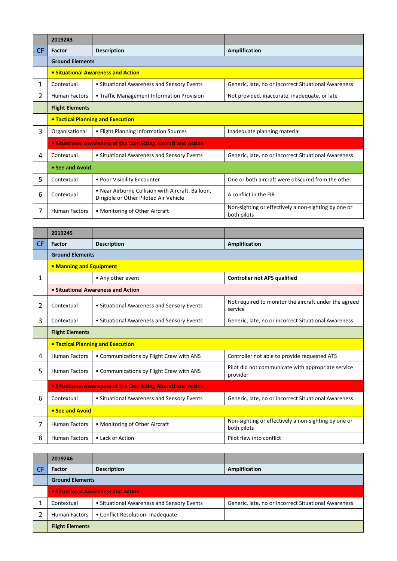|           | 2019243                                  |                                                                                             |                                                                     |  |
|-----------|------------------------------------------|---------------------------------------------------------------------------------------------|---------------------------------------------------------------------|--|
| <b>CF</b> | Factor                                   | <b>Description</b>                                                                          | <b>Amplification</b>                                                |  |
|           | <b>Ground Elements</b>                   |                                                                                             |                                                                     |  |
|           |                                          | • Situational Awareness and Action                                                          |                                                                     |  |
| 1         | Contextual                               | • Situational Awareness and Sensory Events                                                  | Generic, late, no or incorrect Situational Awareness                |  |
| 2         | <b>Human Factors</b>                     | • Traffic Management Information Provision                                                  | Not provided, inaccurate, inadequate, or late                       |  |
|           | <b>Flight Elements</b>                   |                                                                                             |                                                                     |  |
|           | <b>• Tactical Planning and Execution</b> |                                                                                             |                                                                     |  |
| 3         | Organisational                           | • Flight Planning Information Sources                                                       | Inadequate planning material                                        |  |
|           |                                          | • Situational Awareness of the Conflicting Aircraft and Action                              |                                                                     |  |
| 4         | Contextual                               | • Situational Awareness and Sensory Events                                                  | Generic, late, no or incorrect Situational Awareness                |  |
|           | • See and Avoid                          |                                                                                             |                                                                     |  |
| 5         | Contextual                               | • Poor Visibility Encounter                                                                 | One or both aircraft were obscured from the other                   |  |
| 6         | Contextual                               | • Near Airborne Collision with Aircraft, Balloon,<br>Dirigible or Other Piloted Air Vehicle | A conflict in the FIR                                               |  |
|           | <b>Human Factors</b>                     | • Monitoring of Other Aircraft                                                              | Non-sighting or effectively a non-sighting by one or<br>both pilots |  |

|           | 2019245                        |                                                                |                                                                     |  |  |
|-----------|--------------------------------|----------------------------------------------------------------|---------------------------------------------------------------------|--|--|
| <b>CF</b> | Factor                         | <b>Description</b>                                             | <b>Amplification</b>                                                |  |  |
|           | <b>Ground Elements</b>         |                                                                |                                                                     |  |  |
|           | <b>• Manning and Equipment</b> |                                                                |                                                                     |  |  |
| 1         |                                | • Any other event                                              | <b>Controller not APS qualified</b>                                 |  |  |
|           |                                | • Situational Awareness and Action                             |                                                                     |  |  |
| 2         | Contextual                     | • Situational Awareness and Sensory Events                     | Not required to monitor the aircraft under the agreed<br>service    |  |  |
| 3         | Contextual                     | • Situational Awareness and Sensory Events                     | Generic, late, no or incorrect Situational Awareness                |  |  |
|           | <b>Flight Elements</b>         |                                                                |                                                                     |  |  |
|           |                                | <b>• Tactical Planning and Execution</b>                       |                                                                     |  |  |
| 4         | <b>Human Factors</b>           | • Communications by Flight Crew with ANS                       | Controller not able to provide requested ATS                        |  |  |
| 5         | <b>Human Factors</b>           | • Communications by Flight Crew with ANS                       | Pilot did not communicate with appropriate service<br>provider      |  |  |
|           |                                | • Situational Awareness of the Conflicting Aircraft and Action |                                                                     |  |  |
| 6         | Contextual                     | • Situational Awareness and Sensory Events                     | Generic, late, no or incorrect Situational Awareness                |  |  |
|           | • See and Avoid                |                                                                |                                                                     |  |  |
| 7         | <b>Human Factors</b>           | • Monitoring of Other Aircraft                                 | Non-sighting or effectively a non-sighting by one or<br>both pilots |  |  |
| 8         | <b>Human Factors</b>           | • Lack of Action                                               | Pilot flew into conflict                                            |  |  |

|     | 2019246                            |                                            |                                                      |  |
|-----|------------------------------------|--------------------------------------------|------------------------------------------------------|--|
| -CF | <b>Factor</b>                      | <b>Description</b>                         | Amplification                                        |  |
|     | <b>Ground Elements</b>             |                                            |                                                      |  |
|     | • Situational Awareness and Action |                                            |                                                      |  |
|     | Contextual                         | • Situational Awareness and Sensory Events | Generic, late, no or incorrect Situational Awareness |  |
|     | <b>Human Factors</b>               | • Conflict Resolution- Inadequate          |                                                      |  |
|     | <b>Flight Elements</b>             |                                            |                                                      |  |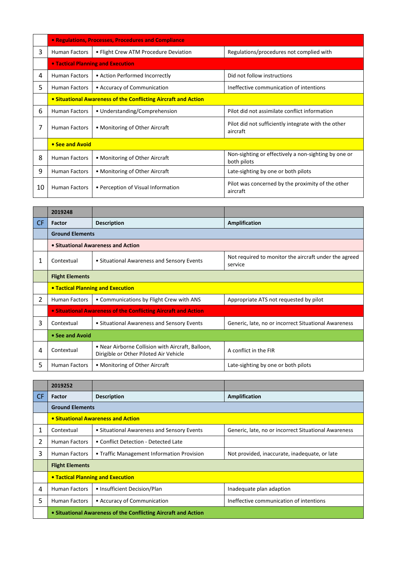|    | • Regulations, Processes, Procedures and Compliance            |                                          |                                                                     |  |
|----|----------------------------------------------------------------|------------------------------------------|---------------------------------------------------------------------|--|
| 3  | <b>Human Factors</b>                                           | • Flight Crew ATM Procedure Deviation    | Regulations/procedures not complied with                            |  |
|    |                                                                | <b>• Tactical Planning and Execution</b> |                                                                     |  |
| 4  | <b>Human Factors</b>                                           | • Action Performed Incorrectly           | Did not follow instructions                                         |  |
| 5  | <b>Human Factors</b>                                           | • Accuracy of Communication              | Ineffective communication of intentions                             |  |
|    | • Situational Awareness of the Conflicting Aircraft and Action |                                          |                                                                     |  |
| 6  | <b>Human Factors</b>                                           | • Understanding/Comprehension            | Pilot did not assimilate conflict information                       |  |
| 7  | <b>Human Factors</b>                                           | • Monitoring of Other Aircraft           | Pilot did not sufficiently integrate with the other<br>aircraft     |  |
|    | • See and Avoid                                                |                                          |                                                                     |  |
| 8  | <b>Human Factors</b>                                           | • Monitoring of Other Aircraft           | Non-sighting or effectively a non-sighting by one or<br>both pilots |  |
| 9  | <b>Human Factors</b>                                           | • Monitoring of Other Aircraft           | Late-sighting by one or both pilots                                 |  |
| 10 | <b>Human Factors</b>                                           | • Perception of Visual Information       | Pilot was concerned by the proximity of the other<br>aircraft       |  |

|     | 2019248                |                                                                                             |                                                                  |
|-----|------------------------|---------------------------------------------------------------------------------------------|------------------------------------------------------------------|
| CF. | Factor                 | <b>Description</b>                                                                          | Amplification                                                    |
|     | <b>Ground Elements</b> |                                                                                             |                                                                  |
|     |                        | • Situational Awareness and Action                                                          |                                                                  |
| 1   | Contextual             | • Situational Awareness and Sensory Events                                                  | Not required to monitor the aircraft under the agreed<br>service |
|     | <b>Flight Elements</b> |                                                                                             |                                                                  |
|     |                        | <b>• Tactical Planning and Execution</b>                                                    |                                                                  |
| 2   | <b>Human Factors</b>   | • Communications by Flight Crew with ANS                                                    | Appropriate ATS not requested by pilot                           |
|     |                        | • Situational Awareness of the Conflicting Aircraft and Action                              |                                                                  |
| 3   | Contextual             | • Situational Awareness and Sensory Events                                                  | Generic, late, no or incorrect Situational Awareness             |
|     | • See and Avoid        |                                                                                             |                                                                  |
| 4   | Contextual             | • Near Airborne Collision with Aircraft, Balloon,<br>Dirigible or Other Piloted Air Vehicle | A conflict in the FIR                                            |
| 5   | <b>Human Factors</b>   | • Monitoring of Other Aircraft                                                              | Late-sighting by one or both pilots                              |

|     | 2019252                |                                                                |                                                      |
|-----|------------------------|----------------------------------------------------------------|------------------------------------------------------|
| CF. | Factor                 | <b>Description</b>                                             | Amplification                                        |
|     | <b>Ground Elements</b> |                                                                |                                                      |
|     |                        | • Situational Awareness and Action                             |                                                      |
| 1   | Contextual             | • Situational Awareness and Sensory Events                     | Generic, late, no or incorrect Situational Awareness |
| 2   | <b>Human Factors</b>   | • Conflict Detection - Detected Late                           |                                                      |
| 3   | <b>Human Factors</b>   | • Traffic Management Information Provision                     | Not provided, inaccurate, inadequate, or late        |
|     | <b>Flight Elements</b> |                                                                |                                                      |
|     |                        | <b>• Tactical Planning and Execution</b>                       |                                                      |
| 4   | <b>Human Factors</b>   | • Insufficient Decision/Plan                                   | Inadequate plan adaption                             |
| 5   | <b>Human Factors</b>   | • Accuracy of Communication                                    | Ineffective communication of intentions              |
|     |                        | • Situational Awareness of the Conflicting Aircraft and Action |                                                      |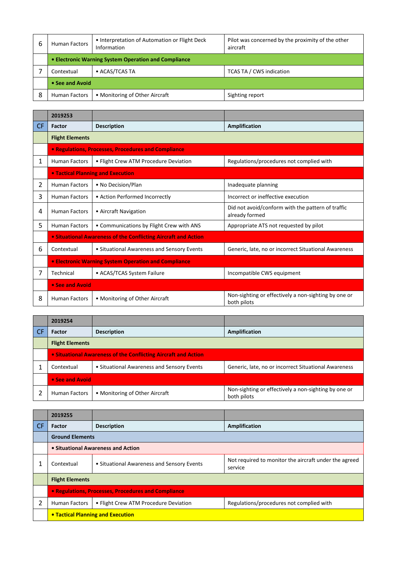| 6 | <b>Human Factors</b>                                 | • Interpretation of Automation or Flight Deck<br>Information | Pilot was concerned by the proximity of the other<br>aircraft |
|---|------------------------------------------------------|--------------------------------------------------------------|---------------------------------------------------------------|
|   | • Electronic Warning System Operation and Compliance |                                                              |                                                               |
|   | Contextual                                           | • ACAS/TCAS TA                                               | <b>TCAS TA / CWS indication</b>                               |
|   | • See and Avoid                                      |                                                              |                                                               |
| 8 | <b>Human Factors</b>                                 | • Monitoring of Other Aircraft                               | Sighting report                                               |

|           | 2019253                                                     |                                                                |                                                                     |
|-----------|-------------------------------------------------------------|----------------------------------------------------------------|---------------------------------------------------------------------|
| <b>CF</b> | Factor                                                      | <b>Description</b>                                             | <b>Amplification</b>                                                |
|           | <b>Flight Elements</b>                                      |                                                                |                                                                     |
|           |                                                             | • Regulations, Processes, Procedures and Compliance            |                                                                     |
| 1         | <b>Human Factors</b>                                        | • Flight Crew ATM Procedure Deviation                          | Regulations/procedures not complied with                            |
|           |                                                             | <b>• Tactical Planning and Execution</b>                       |                                                                     |
| 2         | <b>Human Factors</b>                                        | • No Decision/Plan                                             | Inadequate planning                                                 |
| 3         | <b>Human Factors</b>                                        | • Action Performed Incorrectly                                 | Incorrect or ineffective execution                                  |
| 4         | <b>Human Factors</b>                                        | • Aircraft Navigation                                          | Did not avoid/conform with the pattern of traffic<br>already formed |
| 5         | <b>Human Factors</b>                                        | • Communications by Flight Crew with ANS                       | Appropriate ATS not requested by pilot                              |
|           |                                                             | • Situational Awareness of the Conflicting Aircraft and Action |                                                                     |
| 6         | Contextual                                                  | • Situational Awareness and Sensory Events                     | Generic, late, no or incorrect Situational Awareness                |
|           | <b>• Electronic Warning System Operation and Compliance</b> |                                                                |                                                                     |
| 7         | Technical                                                   | • ACAS/TCAS System Failure                                     | Incompatible CWS equipment                                          |
|           | • See and Avoid                                             |                                                                |                                                                     |
| 8         | <b>Human Factors</b>                                        | • Monitoring of Other Aircraft                                 | Non-sighting or effectively a non-sighting by one or<br>both pilots |

| 2019254                                                        |                                            |                                                                     |
|----------------------------------------------------------------|--------------------------------------------|---------------------------------------------------------------------|
| Factor                                                         | <b>Description</b>                         | Amplification                                                       |
| <b>Flight Elements</b>                                         |                                            |                                                                     |
| • Situational Awareness of the Conflicting Aircraft and Action |                                            |                                                                     |
| Contextual                                                     | • Situational Awareness and Sensory Events | Generic, late, no or incorrect Situational Awareness                |
| • See and Avoid                                                |                                            |                                                                     |
| <b>Human Factors</b>                                           | • Monitoring of Other Aircraft             | Non-sighting or effectively a non-sighting by one or<br>both pilots |

|           | 2019255                                             |                                            |                                                                  |  |
|-----------|-----------------------------------------------------|--------------------------------------------|------------------------------------------------------------------|--|
| <b>CF</b> | <b>Factor</b>                                       | <b>Description</b>                         | Amplification                                                    |  |
|           | <b>Ground Elements</b>                              |                                            |                                                                  |  |
|           | • Situational Awareness and Action                  |                                            |                                                                  |  |
|           | Contextual                                          | • Situational Awareness and Sensory Events | Not required to monitor the aircraft under the agreed<br>service |  |
|           | <b>Flight Elements</b>                              |                                            |                                                                  |  |
|           | • Regulations, Processes, Procedures and Compliance |                                            |                                                                  |  |
| 2         | <b>Human Factors</b>                                | • Flight Crew ATM Procedure Deviation      | Regulations/procedures not complied with                         |  |
|           |                                                     | <b>• Tactical Planning and Execution</b>   |                                                                  |  |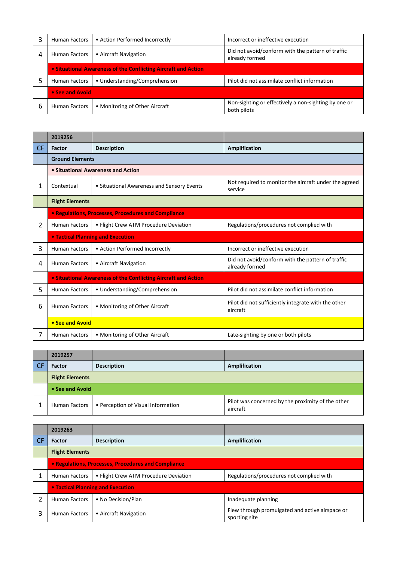|   | <b>Human Factors</b>                                           | • Action Performed Incorrectly | Incorrect or ineffective execution                                  |
|---|----------------------------------------------------------------|--------------------------------|---------------------------------------------------------------------|
| 4 | <b>Human Factors</b>                                           | • Aircraft Navigation          | Did not avoid/conform with the pattern of traffic<br>already formed |
|   | • Situational Awareness of the Conflicting Aircraft and Action |                                |                                                                     |
|   | Human Factors                                                  | • Understanding/Comprehension  | Pilot did not assimilate conflict information                       |
|   | • See and Avoid                                                |                                |                                                                     |
| 6 | <b>Human Factors</b>                                           | • Monitoring of Other Aircraft | Non-sighting or effectively a non-sighting by one or<br>both pilots |

|                | 2019256                |                                                                |                                                                     |
|----------------|------------------------|----------------------------------------------------------------|---------------------------------------------------------------------|
| <b>CF</b>      | Factor                 | <b>Description</b>                                             | <b>Amplification</b>                                                |
|                | <b>Ground Elements</b> |                                                                |                                                                     |
|                |                        | • Situational Awareness and Action                             |                                                                     |
| 1              | Contextual             | • Situational Awareness and Sensory Events                     | Not required to monitor the aircraft under the agreed<br>service    |
|                | <b>Flight Elements</b> |                                                                |                                                                     |
|                |                        | • Regulations, Processes, Procedures and Compliance            |                                                                     |
| $\overline{2}$ | <b>Human Factors</b>   | • Flight Crew ATM Procedure Deviation                          | Regulations/procedures not complied with                            |
|                |                        | <b>• Tactical Planning and Execution</b>                       |                                                                     |
| 3              | <b>Human Factors</b>   | • Action Performed Incorrectly                                 | Incorrect or ineffective execution                                  |
| 4              | <b>Human Factors</b>   | • Aircraft Navigation                                          | Did not avoid/conform with the pattern of traffic<br>already formed |
|                |                        | • Situational Awareness of the Conflicting Aircraft and Action |                                                                     |
| 5              | <b>Human Factors</b>   | • Understanding/Comprehension                                  | Pilot did not assimilate conflict information                       |
| 6              | <b>Human Factors</b>   | • Monitoring of Other Aircraft                                 | Pilot did not sufficiently integrate with the other<br>aircraft     |
|                | • See and Avoid        |                                                                |                                                                     |
| 7              | <b>Human Factors</b>   | • Monitoring of Other Aircraft                                 | Late-sighting by one or both pilots                                 |

| 2019257                |                                    |                                                               |  |
|------------------------|------------------------------------|---------------------------------------------------------------|--|
| Factor                 | <b>Description</b>                 | Amplification                                                 |  |
| <b>Flight Elements</b> |                                    |                                                               |  |
| • See and Avoid        |                                    |                                                               |  |
| Human Factors          | • Perception of Visual Information | Pilot was concerned by the proximity of the other<br>aircraft |  |

|           | 2019263                                             |                                          |                                                                  |
|-----------|-----------------------------------------------------|------------------------------------------|------------------------------------------------------------------|
| <b>CF</b> | Factor                                              | <b>Description</b>                       | Amplification                                                    |
|           | <b>Flight Elements</b>                              |                                          |                                                                  |
|           | • Regulations, Processes, Procedures and Compliance |                                          |                                                                  |
|           | <b>Human Factors</b>                                | • Flight Crew ATM Procedure Deviation    | Regulations/procedures not complied with                         |
|           |                                                     | <b>• Tactical Planning and Execution</b> |                                                                  |
|           | <b>Human Factors</b>                                | • No Decision/Plan                       | Inadequate planning                                              |
|           | <b>Human Factors</b>                                | • Aircraft Navigation                    | Flew through promulgated and active airspace or<br>sporting site |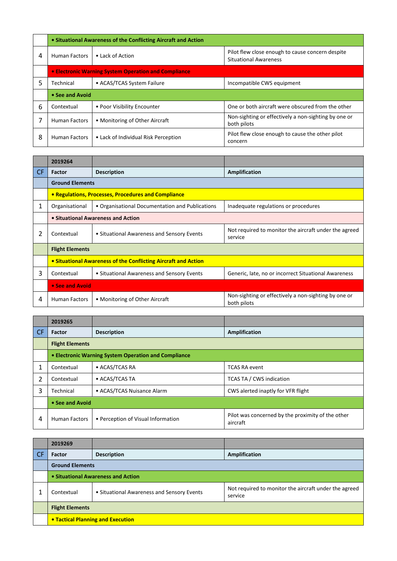|   |                                                      | • Situational Awareness of the Conflicting Aircraft and Action |                                                                                  |  |
|---|------------------------------------------------------|----------------------------------------------------------------|----------------------------------------------------------------------------------|--|
| 4 | <b>Human Factors</b>                                 | • Lack of Action                                               | Pilot flew close enough to cause concern despite<br><b>Situational Awareness</b> |  |
|   | • Electronic Warning System Operation and Compliance |                                                                |                                                                                  |  |
| 5 | Technical                                            | • ACAS/TCAS System Failure                                     | Incompatible CWS equipment                                                       |  |
|   | • See and Avoid                                      |                                                                |                                                                                  |  |
| 6 | Contextual                                           | • Poor Visibility Encounter                                    | One or both aircraft were obscured from the other                                |  |
|   | <b>Human Factors</b>                                 | • Monitoring of Other Aircraft                                 | Non-sighting or effectively a non-sighting by one or<br>both pilots              |  |
| 8 | <b>Human Factors</b>                                 | • Lack of Individual Risk Perception                           | Pilot flew close enough to cause the other pilot<br>concern                      |  |

|     | 2019264                |                                                                |                                                                     |
|-----|------------------------|----------------------------------------------------------------|---------------------------------------------------------------------|
| CF. | Factor                 | <b>Description</b>                                             | Amplification                                                       |
|     | <b>Ground Elements</b> |                                                                |                                                                     |
|     |                        | • Regulations, Processes, Procedures and Compliance            |                                                                     |
| 1   | Organisational         | • Organisational Documentation and Publications                | Inadequate regulations or procedures                                |
|     |                        | • Situational Awareness and Action                             |                                                                     |
| 2   | Contextual             | • Situational Awareness and Sensory Events                     | Not required to monitor the aircraft under the agreed<br>service    |
|     | <b>Flight Elements</b> |                                                                |                                                                     |
|     |                        | • Situational Awareness of the Conflicting Aircraft and Action |                                                                     |
| 3   | Contextual             | • Situational Awareness and Sensory Events                     | Generic, late, no or incorrect Situational Awareness                |
|     | • See and Avoid        |                                                                |                                                                     |
| 4   | <b>Human Factors</b>   | • Monitoring of Other Aircraft                                 | Non-sighting or effectively a non-sighting by one or<br>both pilots |

|           | 2019265                                              |                                    |                                                               |
|-----------|------------------------------------------------------|------------------------------------|---------------------------------------------------------------|
| <b>CF</b> | <b>Factor</b>                                        | <b>Description</b>                 | Amplification                                                 |
|           | <b>Flight Elements</b>                               |                                    |                                                               |
|           | • Electronic Warning System Operation and Compliance |                                    |                                                               |
| 1         | Contextual                                           | • ACAS/TCAS RA                     | <b>TCAS RA event</b>                                          |
| 2         | Contextual                                           | • ACAS/TCAS TA                     | <b>TCAS TA / CWS indication</b>                               |
| 3         | Technical                                            | • ACAS/TCAS Nuisance Alarm         | CWS alerted inaptly for VFR flight                            |
|           | • See and Avoid                                      |                                    |                                                               |
| 4         | Human Factors                                        | • Perception of Visual Information | Pilot was concerned by the proximity of the other<br>aircraft |

|           | 2019269                            |                                            |                                                                  |
|-----------|------------------------------------|--------------------------------------------|------------------------------------------------------------------|
| <b>CF</b> | Factor                             | <b>Description</b>                         | <b>Amplification</b>                                             |
|           | <b>Ground Elements</b>             |                                            |                                                                  |
|           | • Situational Awareness and Action |                                            |                                                                  |
|           | Contextual                         | • Situational Awareness and Sensory Events | Not required to monitor the aircraft under the agreed<br>service |
|           | <b>Flight Elements</b>             |                                            |                                                                  |
|           | • Tactical Planning and Execution  |                                            |                                                                  |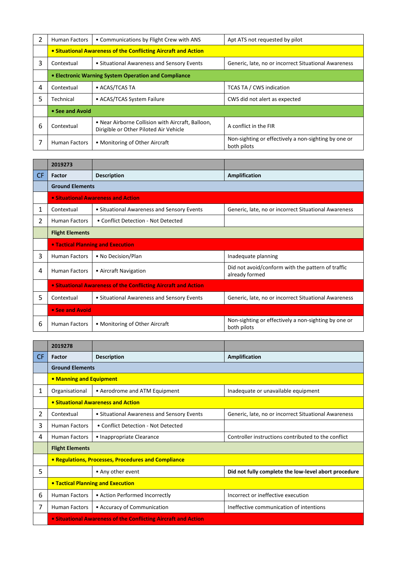| 2 | <b>Human Factors</b>                                           | • Communications by Flight Crew with ANS                                                    | Apt ATS not requested by pilot                                      |
|---|----------------------------------------------------------------|---------------------------------------------------------------------------------------------|---------------------------------------------------------------------|
|   | • Situational Awareness of the Conflicting Aircraft and Action |                                                                                             |                                                                     |
| 3 | Contextual                                                     | • Situational Awareness and Sensory Events                                                  | Generic, late, no or incorrect Situational Awareness                |
|   | • Electronic Warning System Operation and Compliance           |                                                                                             |                                                                     |
| 4 | Contextual                                                     | • ACAS/TCAS TA                                                                              | <b>TCAS TA / CWS indication</b>                                     |
| 5 | Technical                                                      | • ACAS/TCAS System Failure                                                                  | CWS did not alert as expected                                       |
|   | • See and Avoid                                                |                                                                                             |                                                                     |
| 6 | Contextual                                                     | • Near Airborne Collision with Aircraft, Balloon,<br>Dirigible or Other Piloted Air Vehicle | A conflict in the FIR                                               |
|   | <b>Human Factors</b>                                           | • Monitoring of Other Aircraft                                                              | Non-sighting or effectively a non-sighting by one or<br>both pilots |

|     | 2019273                                                        |                                            |                                                                     |
|-----|----------------------------------------------------------------|--------------------------------------------|---------------------------------------------------------------------|
| CF. | Factor                                                         | <b>Description</b>                         | Amplification                                                       |
|     | <b>Ground Elements</b>                                         |                                            |                                                                     |
|     | • Situational Awareness and Action                             |                                            |                                                                     |
| 1   | Contextual                                                     | • Situational Awareness and Sensory Events | Generic, late, no or incorrect Situational Awareness                |
| 2   | <b>Human Factors</b>                                           | • Conflict Detection - Not Detected        |                                                                     |
|     | <b>Flight Elements</b>                                         |                                            |                                                                     |
|     | • Tactical Planning and Execution                              |                                            |                                                                     |
| 3   | <b>Human Factors</b>                                           | • No Decision/Plan                         | Inadequate planning                                                 |
| 4   | <b>Human Factors</b>                                           | • Aircraft Navigation                      | Did not avoid/conform with the pattern of traffic<br>already formed |
|     | • Situational Awareness of the Conflicting Aircraft and Action |                                            |                                                                     |
| 5   | Contextual                                                     | • Situational Awareness and Sensory Events | Generic, late, no or incorrect Situational Awareness                |
|     | • See and Avoid                                                |                                            |                                                                     |
| 6   | <b>Human Factors</b>                                           | • Monitoring of Other Aircraft             | Non-sighting or effectively a non-sighting by one or<br>both pilots |

|           | 2019278                                                        |                                            |                                                      |
|-----------|----------------------------------------------------------------|--------------------------------------------|------------------------------------------------------|
| <b>CF</b> | <b>Factor</b>                                                  | <b>Description</b>                         | <b>Amplification</b>                                 |
|           | <b>Ground Elements</b>                                         |                                            |                                                      |
|           | • Manning and Equipment                                        |                                            |                                                      |
| 1         | Organisational                                                 | • Aerodrome and ATM Equipment              | Inadequate or unavailable equipment                  |
|           | • Situational Awareness and Action                             |                                            |                                                      |
| 2         | Contextual                                                     | • Situational Awareness and Sensory Events | Generic, late, no or incorrect Situational Awareness |
| 3         | <b>Human Factors</b>                                           | • Conflict Detection - Not Detected        |                                                      |
| 4         | <b>Human Factors</b>                                           | • Inappropriate Clearance                  | Controller instructions contributed to the conflict  |
|           | <b>Flight Elements</b>                                         |                                            |                                                      |
|           | • Regulations, Processes, Procedures and Compliance            |                                            |                                                      |
| 5         |                                                                | • Any other event                          | Did not fully complete the low-level abort procedure |
|           | <b>• Tactical Planning and Execution</b>                       |                                            |                                                      |
| 6         | <b>Human Factors</b>                                           | • Action Performed Incorrectly             | Incorrect or ineffective execution                   |
| 7         | <b>Human Factors</b>                                           | • Accuracy of Communication                | Ineffective communication of intentions              |
|           | • Situational Awareness of the Conflicting Aircraft and Action |                                            |                                                      |